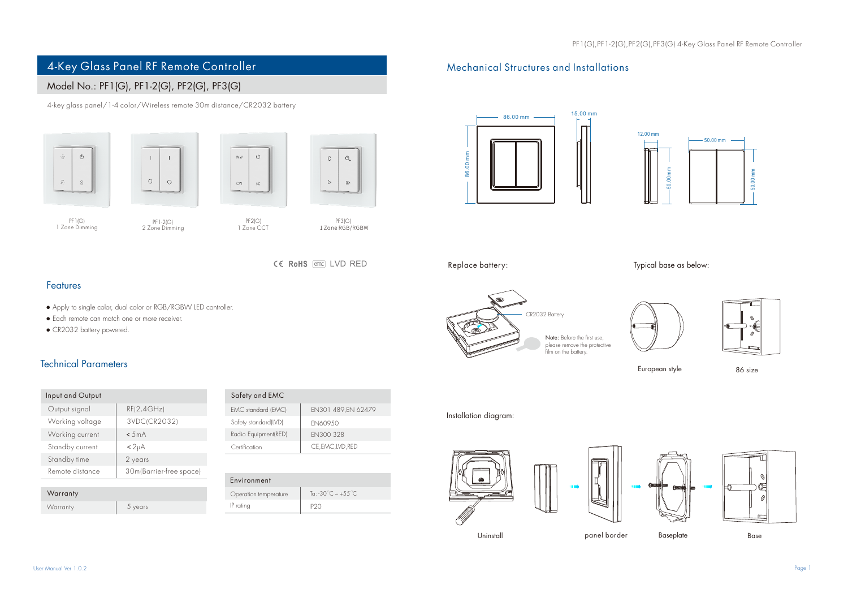# 4-Key Glass Panel RF Remote Controller Mechanical Structures and Installations

## Model No.: PF1(G), PF1-2(G), PF2(G), PF3(G)

4-key glass panel/1-4 color/Wireless remote 30m distance/CR2032 battery







PF1(G) PF2(G) 1 Zone Dimming 1 Zone CCT PF1-2(G) 2 Zone Dimming

 $\mathcal{O}$ 

 $\frac{3N}{2N}$ 

PF3(G) 1ZoneRGB/RGBW

CE RoHS (emc) I VD RFD

### Features

- Apply to single color, dual color or RGB/RGBW LED controller.
- Each remote can match one or more receiver.
- CR2032 battery powered.

## Technical Parameters

| Input and Output |                         |
|------------------|-------------------------|
| Output signal    | RF(2.4GHz)              |
| Working voltage  | 3VDC(CR2032)            |
| Working current  | < 5mA                   |
| Standby current  | < 2 <sub>µ</sub> A      |
| Standby time     | 2 years                 |
| Remote distance  | 30m(Barrier-free space) |
|                  |                         |
| Warranty         |                         |

Warranty 5 years

| Safety and EMC       |                    |
|----------------------|--------------------|
| EMC standard (EMC)   | EN301 489.EN 62479 |
| Safety standard(LVD) | FN609.50           |
| Radio Equipment(RED) | EN300 328          |
| Certification        | CE, EMC, LVD, RED  |
|                      |                    |

| Environment           |                                 |
|-----------------------|---------------------------------|
| Operation temperature | To: -30°C $\sim +55^{\circ}$ C. |
| IP rating             | IP <sub>20</sub>                |
|                       |                                 |





Replace battery:

# Typical base as below:



Note: Before the first use, please remove the protective film on the battery.





European style 86 size

#### Installation diagram:









Uninstall **Example 18 Deciment Panel Base** Base Base Base